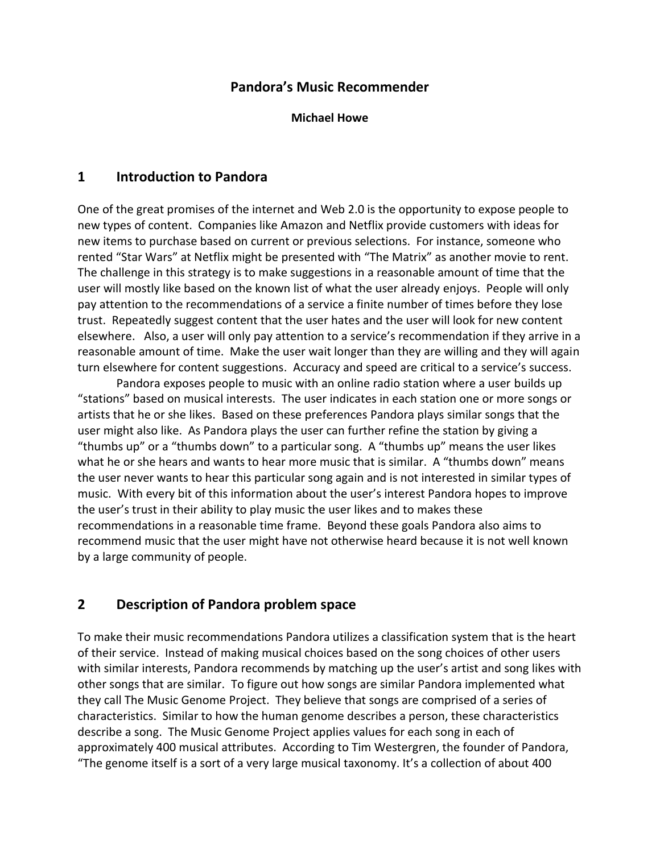## **Pandora's Music Recommender**

**Michael Howe**

### **1 Introduction to Pandora**

One of the great promises of the internet and Web 2.0 is the opportunity to expose people to new types of content. Companies like Amazon and Netflix provide customers with ideas for new items to purchase based on current or previous selections. For instance, someone who rented "Star Wars" at Netflix might be presented with "The Matrix" as another movie to rent. The challenge in this strategy is to make suggestions in a reasonable amount of time that the user will mostly like based on the known list of what the user already enjoys. People will only pay attention to the recommendations of a service a finite number of times before they lose trust. Repeatedly suggest content that the user hates and the user will look for new content elsewhere. Also, a user will only pay attention to a service's recommendation if they arrive in a reasonable amount of time. Make the user wait longer than they are willing and they will again turn elsewhere for content suggestions. Accuracy and speed are critical to a service's success.

Pandora exposes people to music with an online radio station where a user builds up "stations" based on musical interests. The user indicates in each station one or more songs or artists that he or she likes. Based on these preferences Pandora plays similar songs that the user might also like. As Pandora plays the user can further refine the station by giving a "thumbs up" or a "thumbs down" to a particular song. A "thumbs up" means the user likes what he or she hears and wants to hear more music that is similar. A "thumbs down" means the user never wants to hear this particular song again and is not interested in similar types of music. With every bit of this information about the user's interest Pandora hopes to improve the user's trust in their ability to play music the user likes and to makes these recommendations in a reasonable time frame. Beyond these goals Pandora also aims to recommend music that the user might have not otherwise heard because it is not well known by a large community of people.

# **2 Description of Pandora problem space**

To make their music recommendations Pandora utilizes a classification system that is the heart of their service. Instead of making musical choices based on the song choices of other users with similar interests, Pandora recommends by matching up the user's artist and song likes with other songs that are similar. To figure out how songs are similar Pandora implemented what they call The Music Genome Project. They believe that songs are comprised of a series of characteristics. Similar to how the human genome describes a person, these characteristics describe a song. The Music Genome Project applies values for each song in each of approximately 400 musical attributes. According to Tim Westergren, the founder of Pandora, "The genome itself is a sort of a very large musical taxonomy. It's a collection of about 400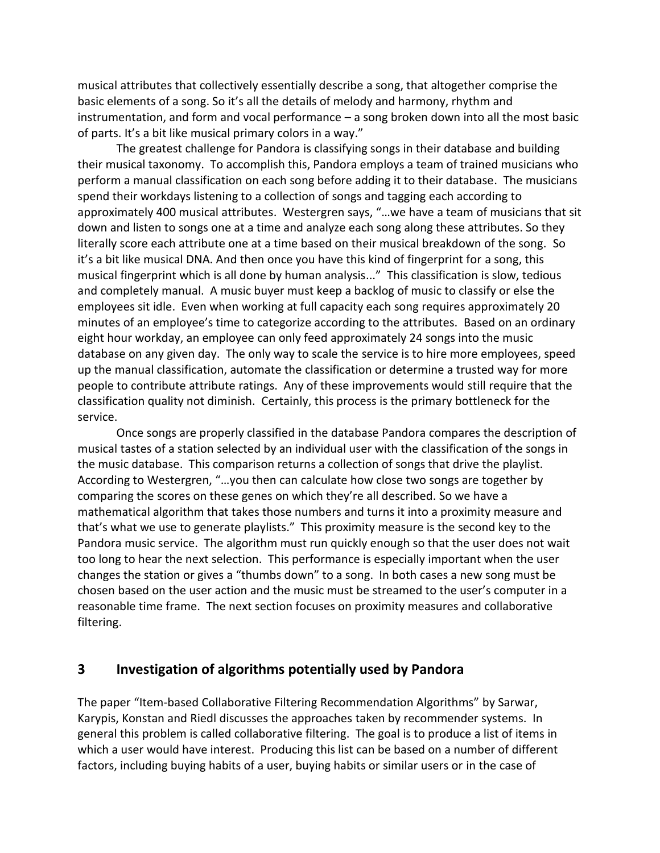musical attributes that collectively essentially describe a song, that altogether comprise the basic elements of a song. So it's all the details of melody and harmony, rhythm and instrumentation, and form and vocal performance – a song broken down into all the most basic of parts. It's a bit like musical primary colors in a way."

The greatest challenge for Pandora is classifying songs in their database and building their musical taxonomy. To accomplish this, Pandora employs a team of trained musicians who perform a manual classification on each song before adding it to their database. The musicians spend their workdays listening to a collection of songs and tagging each according to approximately 400 musical attributes. Westergren says, "…we have a team of musicians that sit down and listen to songs one at a time and analyze each song along these attributes. So they literally score each attribute one at a time based on their musical breakdown of the song. So it's a bit like musical DNA. And then once you have this kind of fingerprint for a song, this musical fingerprint which is all done by human analysis..." This classification is slow, tedious and completely manual. A music buyer must keep a backlog of music to classify or else the employees sit idle. Even when working at full capacity each song requires approximately 20 minutes of an employee's time to categorize according to the attributes. Based on an ordinary eight hour workday, an employee can only feed approximately 24 songs into the music database on any given day. The only way to scale the service is to hire more employees, speed up the manual classification, automate the classification or determine a trusted way for more people to contribute attribute ratings. Any of these improvements would still require that the classification quality not diminish. Certainly, this process is the primary bottleneck for the service.

Once songs are properly classified in the database Pandora compares the description of musical tastes of a station selected by an individual user with the classification of the songs in the music database. This comparison returns a collection of songs that drive the playlist. According to Westergren, "…you then can calculate how close two songs are together by comparing the scores on these genes on which they're all described. So we have a mathematical algorithm that takes those numbers and turns it into a proximity measure and that's what we use to generate playlists." This proximity measure is the second key to the Pandora music service. The algorithm must run quickly enough so that the user does not wait too long to hear the next selection. This performance is especially important when the user changes the station or gives a "thumbs down" to a song. In both cases a new song must be chosen based on the user action and the music must be streamed to the user's computer in a reasonable time frame. The next section focuses on proximity measures and collaborative filtering.

#### **3 Investigation of algorithms potentially used by Pandora**

The paper "Item-based Collaborative Filtering Recommendation Algorithms" by Sarwar, Karypis, Konstan and Riedl discusses the approaches taken by recommender systems. In general this problem is called collaborative filtering. The goal is to produce a list of items in which a user would have interest. Producing this list can be based on a number of different factors, including buying habits of a user, buying habits or similar users or in the case of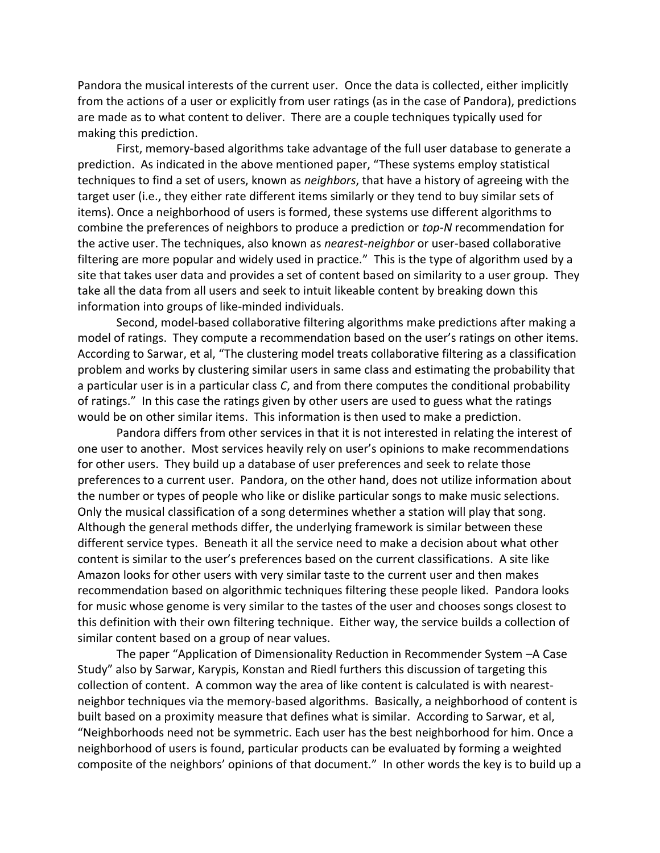Pandora the musical interests of the current user. Once the data is collected, either implicitly from the actions of a user or explicitly from user ratings (as in the case of Pandora), predictions are made as to what content to deliver. There are a couple techniques typically used for making this prediction.

First, memory-based algorithms take advantage of the full user database to generate a prediction. As indicated in the above mentioned paper, "These systems employ statistical techniques to find a set of users, known as *neighbors*, that have a history of agreeing with the target user (i.e., they either rate different items similarly or they tend to buy similar sets of items). Once a neighborhood of users is formed, these systems use different algorithms to combine the preferences of neighbors to produce a prediction or *top-N* recommendation for the active user. The techniques, also known as *nearest-neighbor* or user-based collaborative filtering are more popular and widely used in practice." This is the type of algorithm used by a site that takes user data and provides a set of content based on similarity to a user group. They take all the data from all users and seek to intuit likeable content by breaking down this information into groups of like-minded individuals.

Second, model-based collaborative filtering algorithms make predictions after making a model of ratings. They compute a recommendation based on the user's ratings on other items. According to Sarwar, et al, "The clustering model treats collaborative filtering as a classification problem and works by clustering similar users in same class and estimating the probability that a particular user is in a particular class *C*, and from there computes the conditional probability of ratings." In this case the ratings given by other users are used to guess what the ratings would be on other similar items. This information is then used to make a prediction.

Pandora differs from other services in that it is not interested in relating the interest of one user to another. Most services heavily rely on user's opinions to make recommendations for other users. They build up a database of user preferences and seek to relate those preferences to a current user. Pandora, on the other hand, does not utilize information about the number or types of people who like or dislike particular songs to make music selections. Only the musical classification of a song determines whether a station will play that song. Although the general methods differ, the underlying framework is similar between these different service types. Beneath it all the service need to make a decision about what other content is similar to the user's preferences based on the current classifications. A site like Amazon looks for other users with very similar taste to the current user and then makes recommendation based on algorithmic techniques filtering these people liked. Pandora looks for music whose genome is very similar to the tastes of the user and chooses songs closest to this definition with their own filtering technique. Either way, the service builds a collection of similar content based on a group of near values.

The paper "Application of Dimensionality Reduction in Recommender System –A Case Study" also by Sarwar, Karypis, Konstan and Riedl furthers this discussion of targeting this collection of content. A common way the area of like content is calculated is with nearestneighbor techniques via the memory-based algorithms. Basically, a neighborhood of content is built based on a proximity measure that defines what is similar. According to Sarwar, et al, "Neighborhoods need not be symmetric. Each user has the best neighborhood for him. Once a neighborhood of users is found, particular products can be evaluated by forming a weighted composite of the neighbors' opinions of that document." In other words the key is to build up a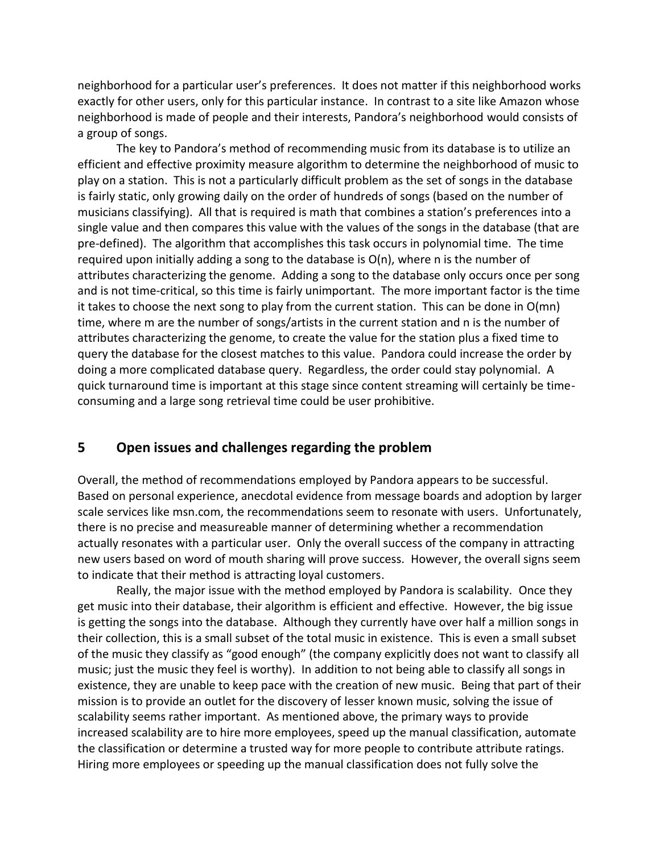neighborhood for a particular user's preferences. It does not matter if this neighborhood works exactly for other users, only for this particular instance. In contrast to a site like Amazon whose neighborhood is made of people and their interests, Pandora's neighborhood would consists of a group of songs.

The key to Pandora's method of recommending music from its database is to utilize an efficient and effective proximity measure algorithm to determine the neighborhood of music to play on a station. This is not a particularly difficult problem as the set of songs in the database is fairly static, only growing daily on the order of hundreds of songs (based on the number of musicians classifying). All that is required is math that combines a station's preferences into a single value and then compares this value with the values of the songs in the database (that are pre-defined). The algorithm that accomplishes this task occurs in polynomial time. The time required upon initially adding a song to the database is  $O(n)$ , where n is the number of attributes characterizing the genome. Adding a song to the database only occurs once per song and is not time-critical, so this time is fairly unimportant. The more important factor is the time it takes to choose the next song to play from the current station. This can be done in O(mn) time, where m are the number of songs/artists in the current station and n is the number of attributes characterizing the genome, to create the value for the station plus a fixed time to query the database for the closest matches to this value. Pandora could increase the order by doing a more complicated database query. Regardless, the order could stay polynomial. A quick turnaround time is important at this stage since content streaming will certainly be timeconsuming and a large song retrieval time could be user prohibitive.

#### **5 Open issues and challenges regarding the problem**

Overall, the method of recommendations employed by Pandora appears to be successful. Based on personal experience, anecdotal evidence from message boards and adoption by larger scale services like msn.com, the recommendations seem to resonate with users. Unfortunately, there is no precise and measureable manner of determining whether a recommendation actually resonates with a particular user. Only the overall success of the company in attracting new users based on word of mouth sharing will prove success. However, the overall signs seem to indicate that their method is attracting loyal customers.

Really, the major issue with the method employed by Pandora is scalability. Once they get music into their database, their algorithm is efficient and effective. However, the big issue is getting the songs into the database. Although they currently have over half a million songs in their collection, this is a small subset of the total music in existence. This is even a small subset of the music they classify as "good enough" (the company explicitly does not want to classify all music; just the music they feel is worthy). In addition to not being able to classify all songs in existence, they are unable to keep pace with the creation of new music. Being that part of their mission is to provide an outlet for the discovery of lesser known music, solving the issue of scalability seems rather important. As mentioned above, the primary ways to provide increased scalability are to hire more employees, speed up the manual classification, automate the classification or determine a trusted way for more people to contribute attribute ratings. Hiring more employees or speeding up the manual classification does not fully solve the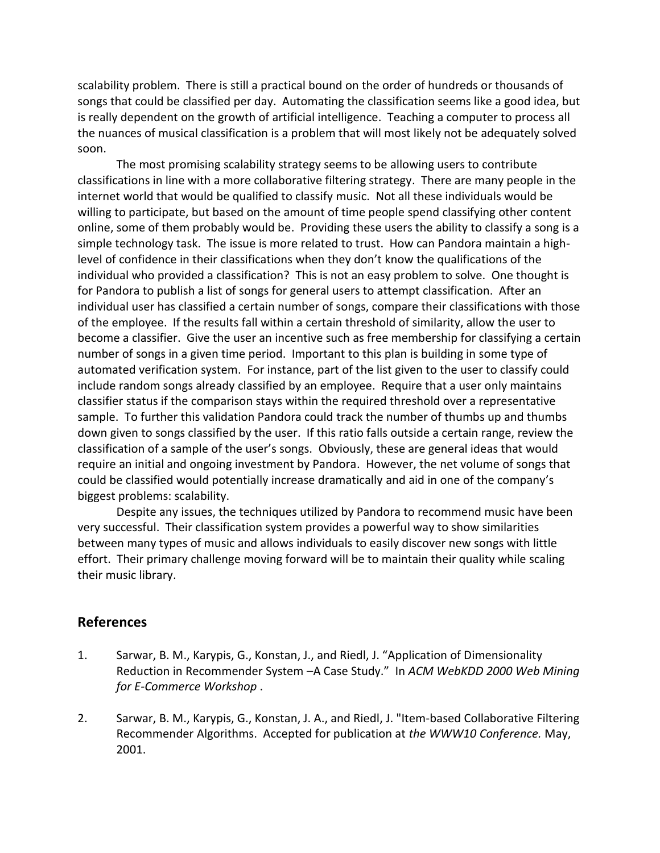scalability problem. There is still a practical bound on the order of hundreds or thousands of songs that could be classified per day. Automating the classification seems like a good idea, but is really dependent on the growth of artificial intelligence. Teaching a computer to process all the nuances of musical classification is a problem that will most likely not be adequately solved soon.

The most promising scalability strategy seems to be allowing users to contribute classifications in line with a more collaborative filtering strategy. There are many people in the internet world that would be qualified to classify music. Not all these individuals would be willing to participate, but based on the amount of time people spend classifying other content online, some of them probably would be. Providing these users the ability to classify a song is a simple technology task. The issue is more related to trust. How can Pandora maintain a highlevel of confidence in their classifications when they don't know the qualifications of the individual who provided a classification? This is not an easy problem to solve. One thought is for Pandora to publish a list of songs for general users to attempt classification. After an individual user has classified a certain number of songs, compare their classifications with those of the employee. If the results fall within a certain threshold of similarity, allow the user to become a classifier. Give the user an incentive such as free membership for classifying a certain number of songs in a given time period. Important to this plan is building in some type of automated verification system. For instance, part of the list given to the user to classify could include random songs already classified by an employee. Require that a user only maintains classifier status if the comparison stays within the required threshold over a representative sample. To further this validation Pandora could track the number of thumbs up and thumbs down given to songs classified by the user. If this ratio falls outside a certain range, review the classification of a sample of the user's songs. Obviously, these are general ideas that would require an initial and ongoing investment by Pandora. However, the net volume of songs that could be classified would potentially increase dramatically and aid in one of the company's biggest problems: scalability.

Despite any issues, the techniques utilized by Pandora to recommend music have been very successful. Their classification system provides a powerful way to show similarities between many types of music and allows individuals to easily discover new songs with little effort. Their primary challenge moving forward will be to maintain their quality while scaling their music library.

#### **References**

- 1. Sarwar, B. M., Karypis, G., Konstan, J., and Riedl, J. "Application of Dimensionality Reduction in Recommender System –A Case Study." In *ACM WebKDD 2000 Web Mining for E-Commerce Workshop* .
- 2. Sarwar, B. M., Karypis, G., Konstan, J. A., and Riedl, J. "Item-based Collaborative Filtering Recommender Algorithms. Accepted for publication at *the WWW10 Conference.* May, 2001.